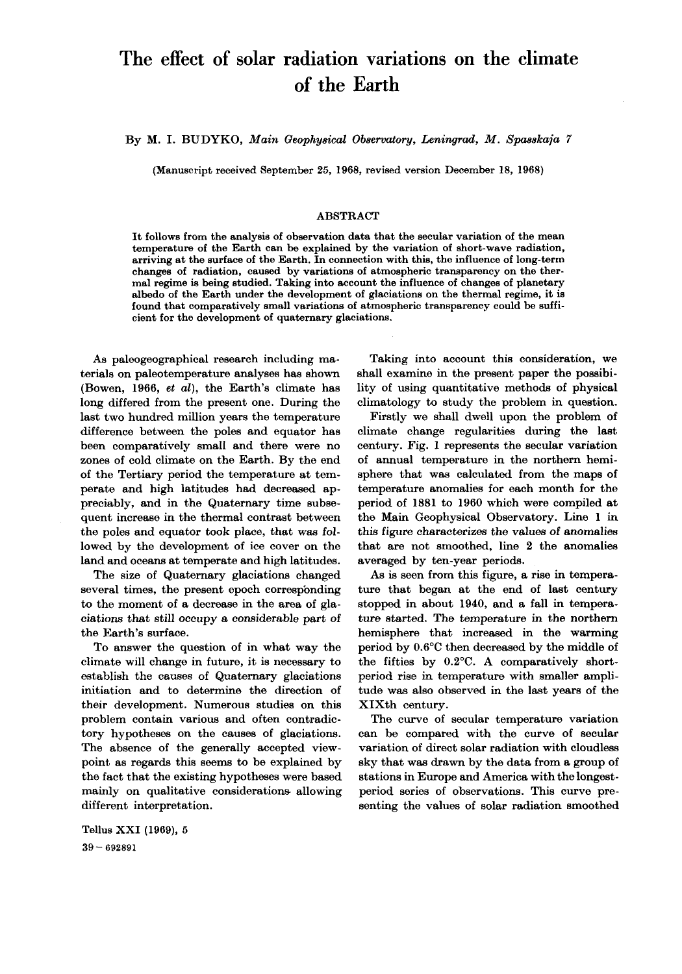## **The effect of solar radiation variations on the climate of the Earth**

By **M.** I. BUDYKO, *Main* Geophysical Observatory, *Leningrad, M. Spasskaja <sup>7</sup>*

(Manuscript received September **25,** 1968, revised version December *18,* 1968)

## ABSTRACT

It follows from the analysis of observation data that the secular variation of the mean temperature of the Earth can be explained by the variation of short-wave radiation, arriving at the surface of the Earth. In connection with this, the influence of long-term changes of radiation, caused by variations of atmospheric transparency on the thermal regime is being studied. Taking into account the influence of changes of planetary albedo of the Earth under the development of glaciations on the thermal regime, it is found that comparatively small variations of atmospheric transparency could be sufficient for the development of quaternary glaciations.

As paleogeographical research including materials on paleotemperature analyses has shown (Bowen, 1966, *et al),* the Earth's climate has long differed from the present one. During the last two hundred million years the temperature difference between the poles and equator has been comparatively small and there were no zones of cold climate on the Earth. By the end of the Tertiary period the temperature at temperate and high latitudes had decreased appreciably, and in the Quaternary time subsequent increase in the thermal contrast between the poles and equator took place, that waa followed by the development of ice cover on the land and oceans at temperate and high latitudes.

The size of Quaternary glaciations changed several times, the present epoch corresponding to the moment of **a** decrease in the area of glaciations that still occupy **a** considerable part of the Earth's surface.

To answer the question of in what way the climate will change in future, it is necessary to establish the causes of Quaternary glaciations initiation and to determine the direction of their development. Numerous studies on this problem contain various and often contradictory hypotheses on the causes of glaciations. The absence of the generally accepted viewpoint **as** regards this seems to be explained by the fact that the existing hypotheses were based mainly on qualitative considerations allowing different interpretation.

Tellus XXI **(1969), 6 <sup>39</sup>**- **<sup>692891</sup>**

Taking into account this consideration, we shall examine in the present paper the possibility of using quantitative methods of physical climatology to study the problem in question.

Firstly we shall dwell upon the problem of climate change regularities during the last century. Fig. 1 represents the secular variation of annual temperature in the northern hemisphere that was calculated from the maps of temperature anomalies for each month for the period of **1881** to 1960 which were compiled at the Main Geophysical Observatory. Line **1** in this figure characterizes the values of anomalies that are not smoothed, line 2 the anomalies averaged by ten-year periods.

*As* is seen from this figure, **a** rise in temperature that began at the end of last century stopped in about 1940, and **a** fall in temperature started. The temperature in the northern hemisphere that increased in the warming period by **0.6"C** then decreased by the middle of the fifties by **0.2"C.** A comparatively shortperiod rise in temperature with smaller amplitude **was** also observed in the last years of the XIXth century.

The curve of secular temperature variation can be compared with the curve of secular variation of direct solar radiation with cloudless sky that was drawn by the data from **a** group of stations in Europe and America with thelongestperiod series of observations. This curve presenting the values of solar radiation smoothed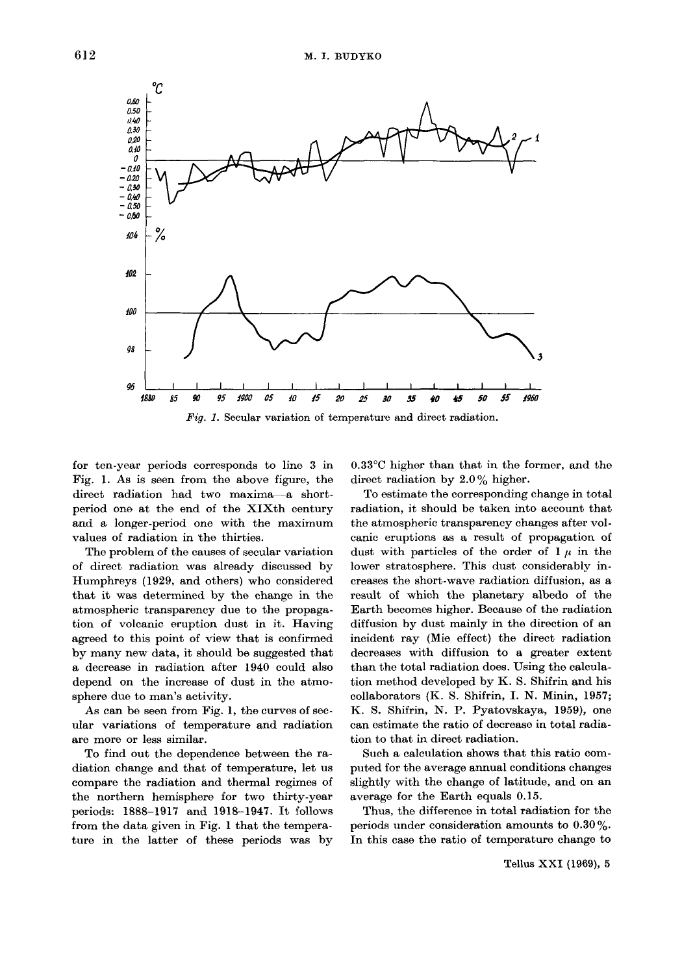

*Fig. 1.* Secular variation **of** temperature and direct radiation.

for ten-year periods corresponds to line **3** in Fig. **1. As** is seen from the above figure, the direct radiation had two maxima-a shortperiod one at the end of the XIXth century and **a** longer-period one with the maximum values of radiation in the thirties.

The problem of the causes of secular variation of direct radiation was already discussed by Humphreys **(1929,** and others) who considered that it was determined by the change in the atmospheric transparency due to the propagation **of** volcanic eruption dust in it. Having agreed to this point of view that is confirmed by many new data, it should be suggested that **a** decrease in radiation after **1940** could also depend on the increase of dust in the atmosphere due to man's activity.

**As** can be seen from Fig. **1,** the curves of secuiar variations of temperature and radiation are more **or** less similar.

To find out the dependence between the **ra**diation change and that of temperature, let us compare the radiation and thermal regimes of the northern hemisphere for two thirty-year periods: **1888-1917** and **1918-1947.** It follows from the data given in Fig. **1** that the temperature in the latter of these periods was by **0.33"C** higher than that in the former, and the direct radiation by **2.0** % higher.

To estimate the corresponding change in total radiation, it should be taken into account that the atmospheric transparency changes after volcanic eruptions **as a** result **of** propagation of dust with particles of the order of  $1 \mu$  in the lower stratosphere. This dust considerably increases the short-wave radiation diffusion, as **a**  result of which the planetary albedo of the Earth becomes higher. Because of the radiation diffusion by dust mainly in the direction of an incident ray (Mie effect) the direct radiation decreases with diffusion to **a** greater extent than the total radiation does. Using the calculation method developed by K. S. Shifrin and his collaborators **(K.** S. Shifrin, I. N. Minin, **1957; K. S.** Shifrin, N. P. Pyatovskaya, **1959),** one can estimate the ratio of decrease in total radiation to that in direct radiation.

Such **a** calculation shows that this ratio computed for the average annual conditions changes slightly with the change of latitude, and on an average for the Earth equals **0.15.** 

Thus, the difference in total radiation for the periods under consideration amounts to **0.30** %. In this case the ratio of temperature change to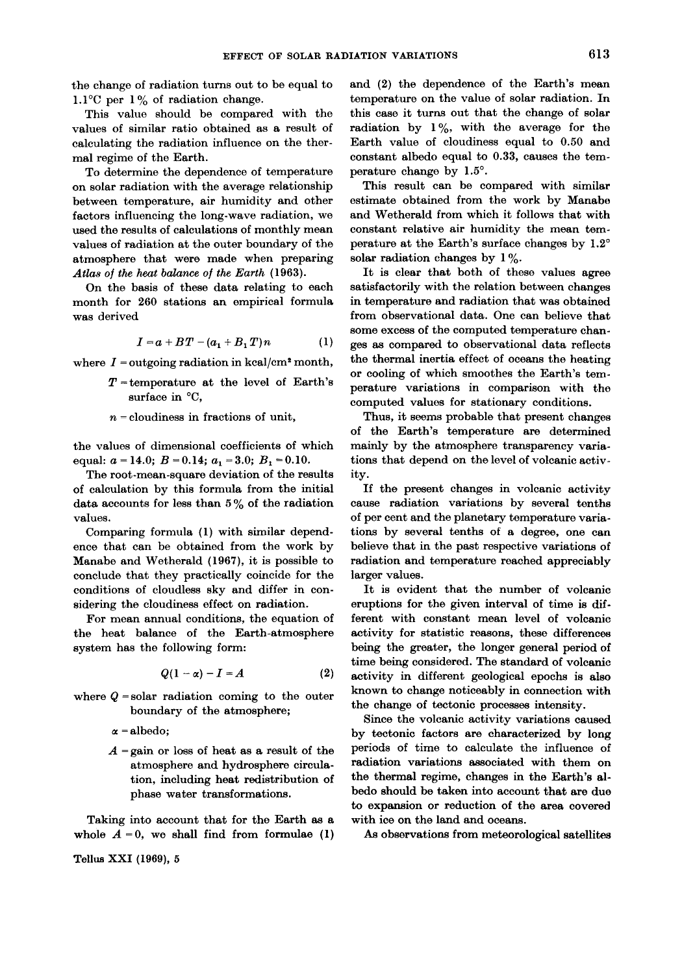the change of radiation turns out to be equal to 1.1°C per  $1\%$  of radiation change.

This value should be compared with the values of similar ratio obtained as **a** result of calculating the radiation influence on the thermal regime of the Earth.

To determine the dependence of temperature on solar radiation with the average relationship between temperature, air humidity and other factors influencing the long-wave radiation, we used the results of calculations of monthly mean values of radiation at the outer boundary of the atmosphere that were made when preparing *Atlas* of the *heat balance of the Earth* **(1963).** 

On the basis of these data relating to each month for **260** stations an empirical formula was derived

$$
I = a + BT - (a1 + B1 T)n \qquad (1)
$$

where  $I =$  outgoing radiation in kcal/cm<sup>2</sup> month,

- $T =$ temperature at the level of Earth's surface in  $^{\circ}C$ ,
- *n* = cloudiness in fractions of unit,

the values of dimensional coefficients of which equal:  $a = 14.0$ ;  $B = 0.14$ ;  $a_1 = 3.0$ ;  $B_1 = 0.10$ .

The root-mean-square deviation of the results of calculation by this formula from the initial data accounts for less than *5* % of the radiation values.

Comparing formula **(1)** with similar dependence that can be obtained from the work by Manabe and Wetherald **(1967),** it is possible to conclude that they practically coincide for the conditions of cloudless sky and differ in considering the cloudiness effect on radiation.

For mean annual conditions, the equation of the heat balance of the Earth-atmosphere system has the following form:

$$
Q(1-\alpha)-I=A \qquad (2)
$$

- where  $Q =$  solar radiation coming to the outer boundary of the atmosphere;
	- $\alpha$  = albedo;
	- *A* =gain or loss of heat as **a** result of the atmosphere and hydrosphere circulation, including heat redistribution of phase water transformations.

Taking into account that for the Earth **aa a**  whole  $A = 0$ , we shall find from formulae (1)

Tellua XXI **(1969),** *<sup>5</sup>*

and (2) the dependence of the Earth's mean temperature on the value of solar radiation. In this case it turns out that the change of solar radiation by **l%,** with the average for the Earth value of cloudiness equal to 0.50 and constant albedo equal to **0.33,** causes the temperature change by 1.5'.

This result can be compared with similar estimate obtained from the work by Manabe and Wetherald from which it follows that with constant relative air humidity the mean temperature at the Earth's surface changes by 1.2" solar radiation changes by  $1\%$ .

It is clear that both of these values agree satisfactorily with the relation between changes in temperature and radiation that was obtained from observational data. One can believe that some excess of the computed temperature changes **aa** compared to observational data reflects the thermal inertia effect of ocems the heating or cooling of which smoothes the Earth's temperature variations in comparison with the computed values for stationary conditions.

Thus, it seems probable that present changes of the Earth's temperature are determined mainly by the atmosphere transparency variations that depend on the level of volcanic activity.

If the present changes in volcanic activity cause radiation variations by several tenths of per cent and the planetary temperature variations by several tenths of **a** degree, one can believe that in the paat respective variations of radiation and temperature reached appreciably larger values.

It is evident that the number of volcanic eruptions for the given interval of time is different with constant mean level of volcanic activity for statistic reasons, these differences being the greater, the longer general period of time being considered. The standard of volcanic activity in different geological epochs is also known to change noticeably in connection with the change of tectonic processes intensity.

Since the volcanic activity variations caused by tectonic factors are characterized by long periods of time to calculate the influence of radiation variations associated with them on the thermal regime, changes in the Earth's albedo should be taken into account that are due to expansion or reduction of the area covered with ice on the land and oceans.

*As* observations from meteorological satellites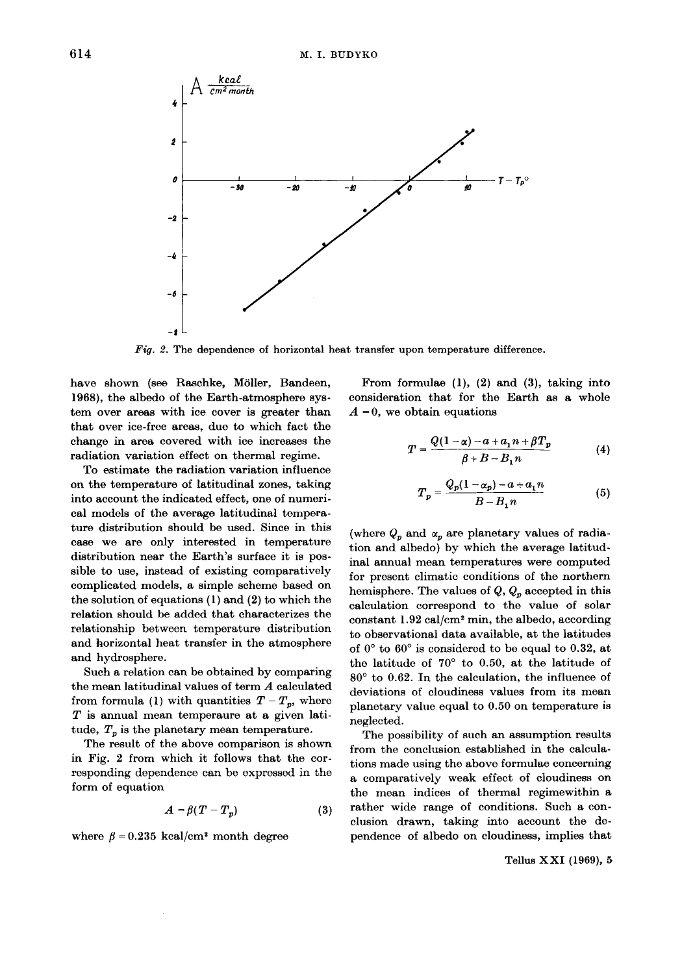

Fig. 2. The dependence of horizontal heat transfer upon temperature difference.

have shown (see Raschke, Moller, Bandeen, **1968),** the albedo of the Earth-atmosphere system over **areas** with ice cover is greater than that over ice-free **areas,** due to which fact the change in area covered with ice increases the radiation variation effect on thermal regime.

To estimate the radiation variation influence on the temperature of latitudinal zones, taking into account the indicated effect, one of numerical models of the average latitudinal temperature distribution should be used. Since in this case we are only interested in temperature distribution near the Earth's surface it is possible to use, instead of existing comparatively complicated models, **a** simple scheme based on the solution of equations **(1)** and **(2)** to which the relation should be added that characterizes the relationship between temperature distribution and horizontal heat transfer in the atmosphere and hydrosphere.

Such **a** relation can be obtained by comparing the mean latitudinal values of term A calculated from formula (1) with quantities  $T - T_p$ , where *T* is annual mean temperaure at **a** given latitude, *T,* is the planetary mean temperature.

The result of the above comparison is shown in Fig. **2** from which it follows that the corresponding dependence can be expressed in the form of equation

$$
A = \beta(T - T_p) \tag{3}
$$

where  $\beta = 0.235$  kcal/cm<sup>2</sup> month degree

From formulae **(l), (2)** and **(3),** taking into consideration that for the Earth as **a** whole  $A = 0$ , we obtain equations

$$
T = \frac{Q(1-\alpha) - a + a_1 n + \beta T_p}{\beta + B - B_1 n}
$$
 (4)

$$
T_p = \frac{Q_p(1-\alpha_p) - a + a_1 n}{B - B_1 n} \tag{5}
$$

(where  $Q_p$  and  $\alpha_p$  are planetary values of radiation and albedo) by which the average latitudinal annual mean temperatures were computed for present climatic conditions of the northern hemisphere. The values of *Q, Q,* accepted in this calculation correspond to the value of solar constant **1.92** cal/cm2 min, the albedo, according to observational data available, at the latitudes of 0" to **60'** is considered to be equal to **0.32,** at the latitude of **70"** to 0.50, at the latitude of 80" to **0.62.** In the calculation, the influence of deviations of cloudiness values from its mean planetary value equal to *0.50* on temperature is neglected.

The possibility of such an assumption results from the conclusion established in the calculations made using the above formulae concerning **a** comparatively weak effect of cloudiness on the mean indices of thermal regimewithin **a**  rather wide range of conditions. Such **a** conclusion drawn, taking into account the dependence of albedo on cloudiness, implies that

Tellus XXI **(1969),** *5*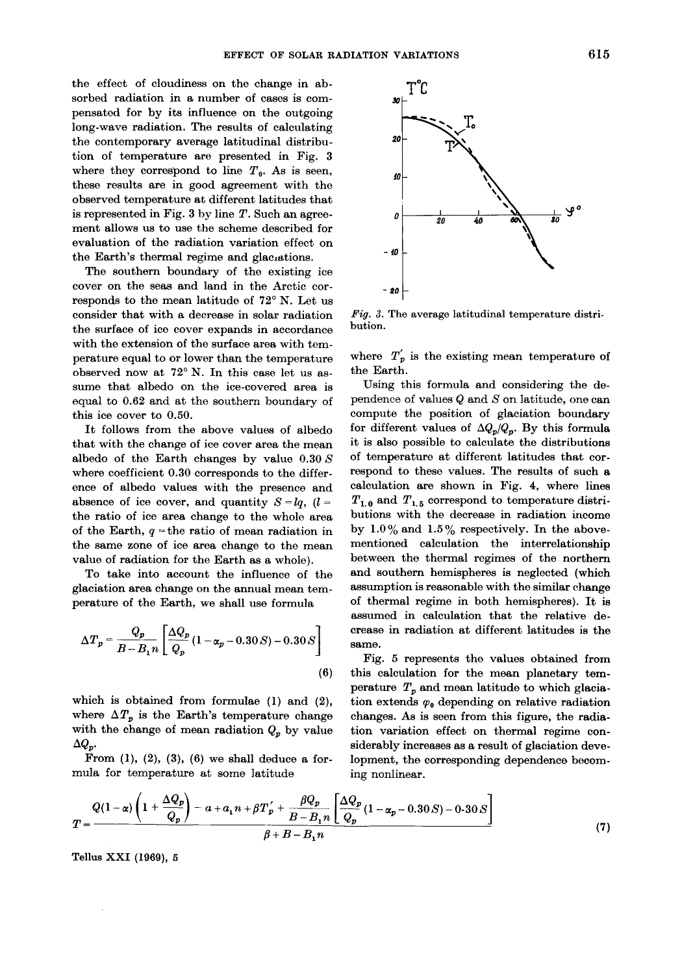the effect of cloudiness on the change in absorbed radiation in **a** number of cases is compensated for by its influence on the outgoing long-wave radiation. The results of calculating the contemporary average latitudinal distribution of temperature **are** presented in Fig. **3**  where they correspond to line  $T<sub>0</sub>$ . As is seen, these results **are** in good agreement with the observed temperature at different latitudes that is represented in Fig. *3* by line *T.* Such an agreement allows us to use the scheme described for evaluation of the radiation variation effect on the Earth's thermal regime and glaciations.

The southern boundary of the existing ice cover on the seas and land in the Arctic corresponds to the mean latitude of **72" N.** Let us consider that with **a** decrease in solar radiation the surface of ice cover expands in accordance with the extension of the surface area with temperature equal to or lower than the temperature observed now at **72'N.** In this case let us assume that albedo on the ice-covered area is **equal** to **0.62** and at the southern boundary of this ice cover to 0.50.

It follows from the above values of albedo that with the change of ice cover area the mean albedo of the Earth changes by value **0.30s**  where coefficient **0.30** corresponds to the difference of albedo values with the presence and absence of ice cover, and quantity  $S = lq$ ,  $(l =$ the ratio of ice area change to the whole area of the Earth,  $q$  = the ratio of mean radiation in the same zone of ice area change to the mean value of radiation for the Earth as **a** whole).

To take into account the influence of the glaciation area change on the annual mean temperature of the Earth, we shall use formula

$$
\Delta T_p = \frac{Q_p}{B - B_1 n} \left[ \frac{\Delta Q_p}{Q_p} (1 - \alpha_p - 0.30 S) - 0.30 S \right]
$$
\n(6)

which is obtained from formulae **(1)** and **(2),**  where  $\Delta T_p$  is the Earth's temperature change with the change of mean radiation  $Q_p$  by value  $\Delta Q_p$ .

**From**  $(1)$ ,  $(2)$ ,  $(3)$ ,  $(6)$  we shall deduce a formula for temperature at some latitude



*Fig.* **3.** The **average latitudinal temperature distri**bution.

where  $T_p'$  is the existing mean temperature of the Earth.

Using this formula and considering the dependence **of** values *Q* and S on latitude, one can compute the position of glaciation boundary for different values of  $\Delta Q_p/Q_p$ . By this formula it is also possible to calculate the distributions of temperature at different latitudes that correspond to these values. The results of such **a**  calculation are shown in Fig. **4,** where lines  $T_{1,0}$  and  $T_{1,5}$  correspond to temperature distributions with the decrease in radiation income by **1.0%** and **1.5%** respectively. In the abovementioned calculation the interrelationship between the thermal regimes of the northern and southern hemispheres is neglected (which assumption is reasonable with the similar change of thermal regime in both hemispheres). It is assumed in calculation that the relative de**crease** in radiation at different latitudes is the same.

Fig. 5 represents the values obtained from this calculation for the mean planetary temperature  $T_p$  and mean latitude to which glaciation extends  $\varphi_0$  depending on relative radiation changes. *As* is seen from this figure, the radiation variation effect on thermal regime considerably increases as **a** result of glaciation development, the corresponding dependence becoming nonlinear.

$$
T = \frac{Q(1-\alpha)\left(1+\frac{\Delta Q_p}{Q_p}\right)-a+a_1n+\beta T'_p+\frac{\beta Q_p}{B-B_1n}\left[\frac{\Delta Q_p}{Q_p}(1-\alpha_p-0.30S)-0.30S\right]}{\beta+B-B_1n}
$$
\n(7)

**Tellus XXI (1969), 6**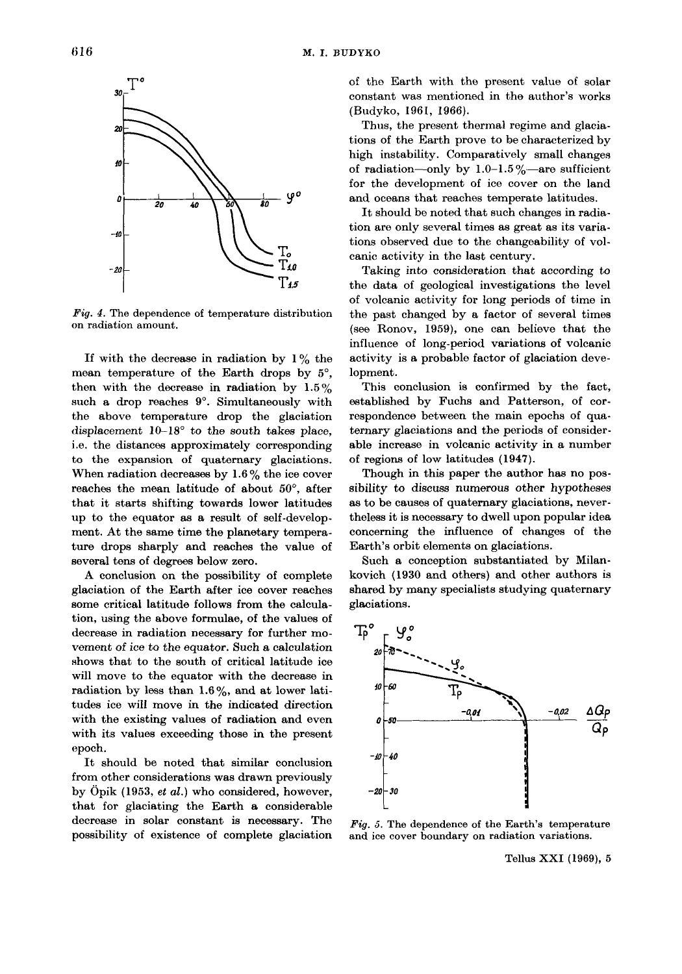

*Fig. 4.* The dependence **of** temperature distribution on radiation amount.

If with the decrease in radiation by **1%** the mean temperature of the Earth drops by *5",*  then with the decrease in radiation by **1.5%**  such **a** drop reaches **9".** Simultaneously with the above temperature drop the glaciation displacement **1Q-18"** to the south takes place, *i.e.* the distances approximately corresponding to the expansion **of** quaternary glaciations. When radiation decreases by  $1.6\%$  the ice cover reachas the mean latitude of about *50°,* after that it starts shifting towards lower latitudes up to the equator as **a** result of self-development. At the same time the planetary temperature drops sharply and reaches the value of several tens of degrees below **zero.** 

**A** conclusion on the possibility of complete glaciation of the Earth after ice cover reaches some critical latitude follows from the calculation, using the above formulae, of the values **of**  decrease in radiation necessary for further movement *of* ice to the equator. Such **a** calculation shows that to the south of critical latitude ice will move to the equator with the decrease in radiation by less than **1.6%,** and at lower latitudes ice will move in the indicated direction with the existing values of radiation and even with its values exceeding those in the present epoch.

It should be noted that similar conclusion from other considerations was drawn previously by Opik **(1953,** *et al.)* who considered, however, that for glaciating the Earth **a** considerable decrease in solar constant is necessary. The possibility of existence **of** complete glaciation of tho Earth with the present value of **solar**  constant was mentioned in the author's works (Budyko, **1961, 1966).** 

Thus, the present thermal regime and glaciations of the Earth prove to be characterized by high instability. Comparatively small changes of radiation-only by **1.0-1.5** %-are sufficient for the development of ice cover on the land and oceans that reaches temperate latitudes.

It should be noted that such changes in radiation are only several times as great **as** its variations observed due to the changeability of volcanic activity in the last century.

Taking into consideration that according *to*  the data **of** geological investigations the level of volcanic activity for long periods of time in the past changed by **a** factor of several times *(see* Ronov, **1959),** one can believe that the influence of long-period variations of volcanic activity is **a** probable factor of glaciation development.

This conclusion is confirmed by the fact, established by Fuchs and Patterson, of correspondence between the main epochs of quaternary glaciations and the periods of considerable increase in volcanic activity in **a** number of regions **of** low latitudes **(1947).** 

Though in this paper the author has no possibility to discuss numerous other hypotheses as to be causes of quaternary glaciations, nevertheless it is necessary to dwell upon popular idea concerning the influence of changes of the Earth's orbit elements on glaciations.

Such **a** conception substantiated by Milankovich **(1930** and others) and other authors is shared by many specialists studying quaternary glaciations.



*Fig.* 5. The dependence **of** the Earth's temperature and ice cover boundary on radiation variations.

Tellus **XXI (1969),** *5*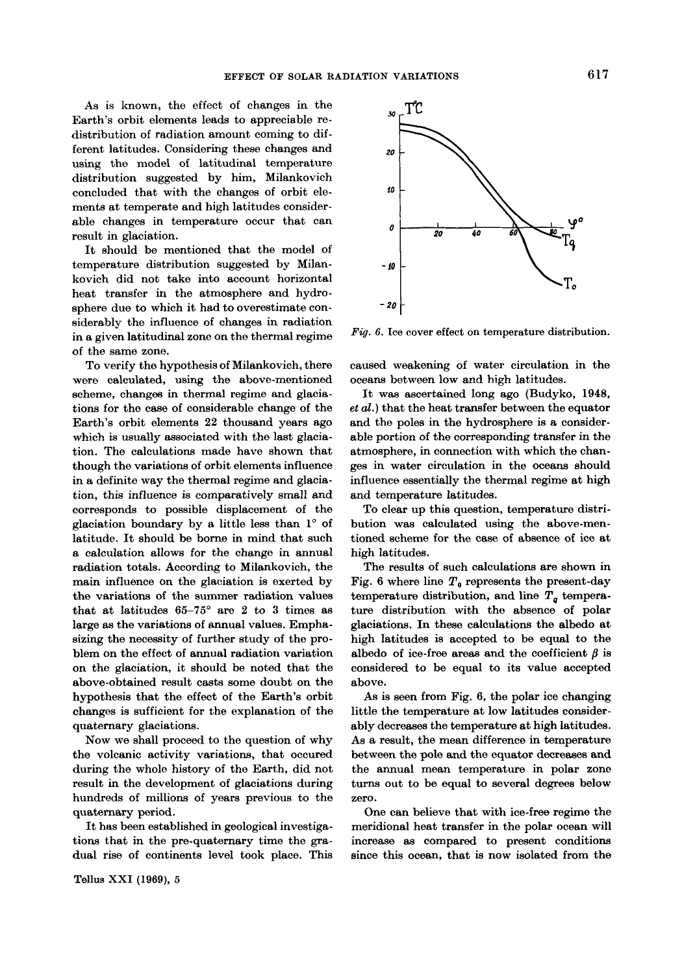As is known, the effect of changes in the Earth's orbit eloments leads to appreciable redistribution of radiation amount coming to dif ferent latitudes. Considering these changes and using the model of latitudinal temperature distribution suggested by him, Milankovich concluded that with the changes of orbit elements at temperate and high latitudes considerable changes in temperature occur that can result in glaciation.

It should be mentioned that the model of temperature distribution suggested by Milankovich did not take into account horizontal heat transfer in the atmosphere and hydrosphere due to which it had to overestimate considerably the influence of changes in radiation in **a** given latitudinal zone on the thermal regime of the same zone.

To verify the hypothesis of Milankovich, there were calculated, using the above-mentioned scheme, changes in thermal regime and glaciations for the case of considerable change of the Earth's orbit elements 22 thousand years ago which is usually associated with the last glaciation. The calculations made have shown that though the variations of orbit elements influence in a definite way the thermal regime and glaciation, this influence is comparatively small and corresponds to possible displacement of the glaciation boundary by a little less than  $1^\circ$  of latitude. It should be borne in mind that such **a** calculation allows for the change in annual radiation totals. According to Milankovich, the main influence on the glaciation is exerted by the variations of the summer radiation values that at latitudes **65-75'** are 2 to 3 times as large as the variations of annual values. Emphasizing the necessity of further study of the problem on the effect of annual radiation variation on the glaciation, it should be noted that the above-obtained result casts some doubt on the hypothesis that the effect of the Earth's orbit changes is sufficient for the explanation of the quaternary glaciations.

Now we shall proceed to the question of why the volcanic activity variations, that occured during the whole history of the Earth, did not result in the development of glaciations during hundreds of millions of years previous to the quaternary period.

It has been established in geological investigations that in the pre-quaternary time the **gra**dual rise of continents level took place. This



Fig. 6. Ice cover effect on temperature distribution.

caused weakening of water circulation in the oceans between low and high latitudes.

It was ascertained long ago (Budyko, **1948,**  et *al.)* that the heat transfer between the equator and the poles in the hydrosphere is **a** considerable portion of the corresponding transfer in the atmosphere, in connection with which the changes in water circulation in the oceans should influence essentially the thermal regime at high and temperature latitudes.

To clear up this question, temperature distribution was calculated using the above-mentioned scheme for the case of absence of ice at high latitudes.

The results of such calculations are shown in Fig. 6 where line  $T_0$  represents the present-day temperature distribution, and line  $T<sub>g</sub>$  temperature distribution with the absence of polar glaciations. In these calculations the albedo at high latitudes is accepted to be equal to the albedo of ice-free areas and the coefficient  $\beta$  is considered to be equal to its value accepted above.

As is seen from Fig. 6, the polar ice changing little the temperature at low latitudes considerably decreases the temperature at high latitudes. As **a** result, the mean difference in temperature between the pole and the equator decreases and the annual mean temperature in polar zone turns out to be equal to several degrees below zero.

One can believe that with ice-free regime the meridional heat transfer in the polar ocean will increase as compared to present conditions since this ocean, that is now isolated from the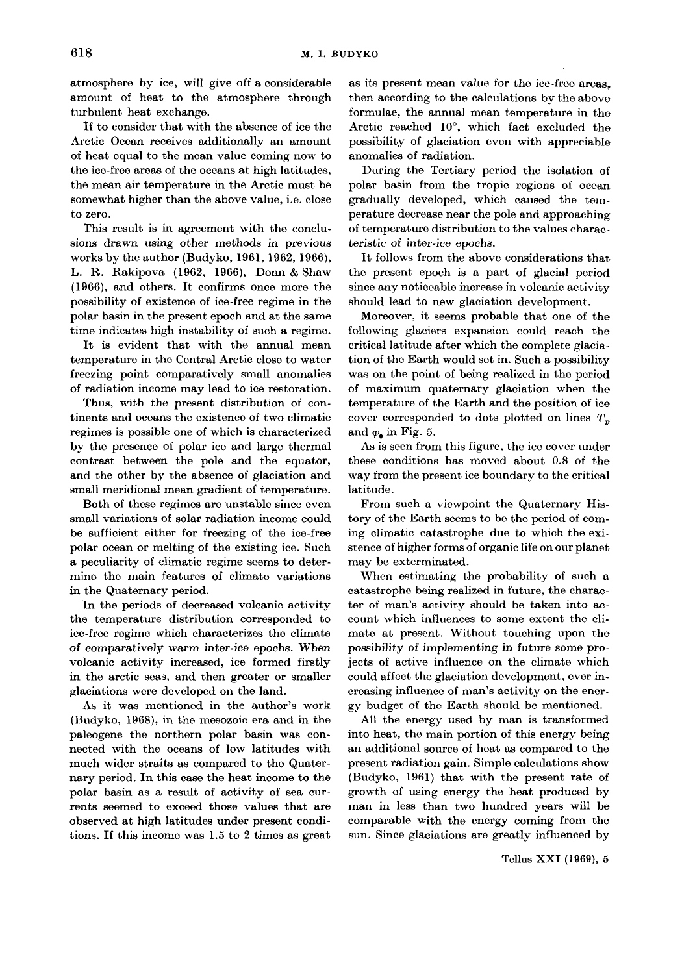atmosphere by ice, will give off **a** considerable amount of heat to the atmosphere through turbulent heat exchange.

If to consider that with the absence of ice the Arctic Ocean receives additionally an amount **of** heat equal to the mean value coming now to the ice-free areas **of** the oceans at high latitudes, the mean air temperature in the Arctic must be somewhat higher than the above value, i.e. close to zero.

This result is in agreement with the conclusions drawn using other methods in previous works by the author (Budyko, **1961,1962, 1966),**  L. R. Rakipova (1962, 1966), Donn & Shaw **(1966),** and others. It confirms once more the possibility of existence of ice-free regime in the polar basin in the present epoch and at the same time indicates high instability of such **a** regime.

It is evident that with the annual mean temperature in the Central Arctic close to water freezing point comparatively small anomalies of radiation income may lead to ice restoration.

Thus, with the present distribution **of** continents and oceans the existence of two climatic regimes is possible one of which is characterized by the presence of polar ice and large thermal contrast between the pole and the equator, and the other by the absence **of** glaciation and small meridional mean gradient of temperature.

Both **of** these regimes are unstable since even small variations of solar radiation income could be sufficient either for freezing of the ice-free polar ocean **or** melting of the existing ice. Such **a** peculiarity of climatic regime seems to determine the main features of climate variations in the Quaternary period.

In the periods of decreased volcanic activity the temperature distribution corresponded to ice-free regime which characterizes the climate *of* comparatively warm inter-ice epochs. When volcanic activity increased, ice formed firstly in the arctic seas, and then greater or smaller glaciations were developed on the land.

As it was mentioned in the author's work (Budyko, **1968),** in the mesozoic **era** and in the paleogene the northern polar basin was connected with the oceans of low latitudes with much wider straits **as** compared to the Quaternary period. In this case the heat income to the polar basin as **a** result **of** activity of sea currents seemed to exceed those values that are observed at high latitudes under present conditions. If this income was **1.5** to **2** times **as** great **as** its present mean value for the ice-free **areas,**  then according to the calculations by the above formulae, the annual mean temperature in the Arctic reached **lo",** which fact excluded the possibility of glaciation even with appreciable anomalies of radiation.

During the Tertiary period the isolation of polar basin from the tropic regions of ocean gradually developed, which caused the temperature decrease near the pole and approaching **of** temperature distribution to the values characteristic *of* inter-ice epochs.

It follows from the above considerations that the present epoch is a part of glacial period since any noticeable increase in volcanic activity should lead to new glaciation development.

Moreover, it seems probable that one of the following glaciers expansion could reach the critical latitude after which the complete glaciation **of** the Earth would set in. Such **a** possibility was on the point of being realized in the period of maximum quaternary glaciation when the temperature of the Earth and the position of ice cover corresponded to dots plotted on lines *T,*  and  $\varphi_0$  in Fig. 5.

**As** is seen from this figure, the ice cover under these conditions has moved about 0.8 of the way from the present ice boundary to the critical latitude.

From such **a** viewpoint the Quaternary History **of** the Earth seems to be the period of coming climatic catastrophe due to which the existence of higher forms of organic life on **our** planet may be exterminated.

When estimating the probability of such **a**  catastrophe being realized in future, the character of man's activity should be taken into account which influences to some extent the climate at present. Without touching upon the possibility of implementing in future some projects of active influence on the climate which could affect the glaciation development, ever increasing influence of man's activity on the energy budget of thc Earth should be mentioned.

All the energy used by man is transformed into heat, the main portion of this energy being an additional source of heat as compared to the present radiation gain. Simple calculations show (Budyko, **1961)** that with the present rate of growth of using energy the heat produced by man in less than two hundred years will be comparable with the energy coming from the sun. Since glaciations are greatly influenced by